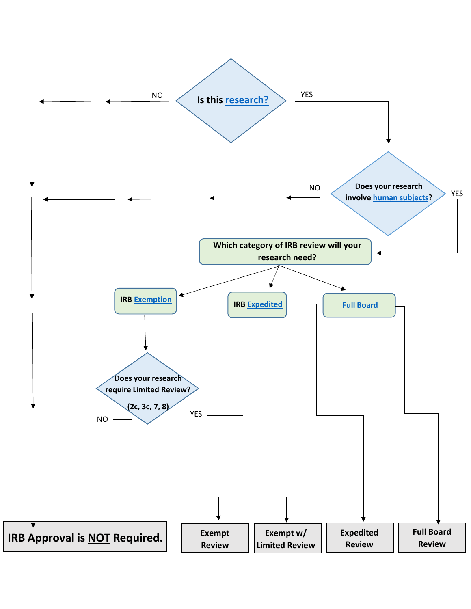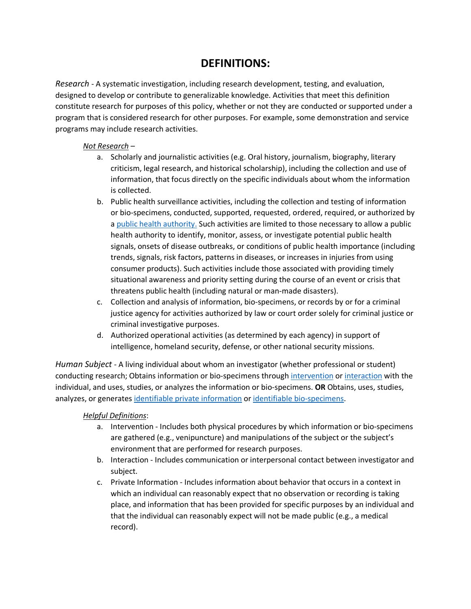## **DEFINITIONS:**

<span id="page-1-0"></span>*Research* - A systematic investigation, including research development, testing, and evaluation, designed to develop or contribute to generalizable knowledge. Activities that meet this definition constitute research for purposes of this policy, whether or not they are conducted or supported under a program that is considered research for other purposes. For example, some demonstration and service programs may include research activities.

#### *Not Research* –

- a. Scholarly and journalistic activities (e.g. Oral history, journalism, biography, literary criticism, legal research, and historical scholarship), including the collection and use of information, that focus directly on the specific individuals about whom the information is collected.
- b. Public health surveillance activities, including the collection and testing of information or bio-specimens, conducted, supported, requested, ordered, required, or authorized by a [public health authority.](#page-2-1) Such activities are limited to those necessary to allow a public health authority to identify, monitor, assess, or investigate potential public health signals, onsets of disease outbreaks, or conditions of public health importance (including trends, signals, risk factors, patterns in diseases, or increases in injuries from using consumer products). Such activities include those associated with providing timely situational awareness and priority setting during the course of an event or crisis that threatens public health (including natural or man-made disasters).
- c. Collection and analysis of information, bio-specimens, or records by or for a criminal justice agency for activities authorized by law or court order solely for criminal justice or criminal investigative purposes.
- d. Authorized operational activities (as determined by each agency) in support of intelligence, homeland security, defense, or other national security missions.

<span id="page-1-1"></span>*Human Subject* - A living individual about whom an investigator (whether professional or student) conducting research; Obtains information or bio-specimens through [intervention](#page-1-2) or [interaction](#page-1-3) with the individual, and uses, studies, or analyzes the information or bio-specimens. **OR** Obtains, uses, studies, analyzes, or generates *identifiable private information* or *identifiable bio-specimens*.

#### <span id="page-1-2"></span>*Helpful Definitions*:

- a. Intervention Includes both physical procedures by which information or bio-specimens are gathered (e.g., venipuncture) and manipulations of the subject or the subject's environment that are performed for research purposes.
- <span id="page-1-3"></span>b. Interaction - Includes communication or interpersonal contact between investigator and subject.
- c. Private Information Includes information about behavior that occurs in a context in which an individual can reasonably expect that no observation or recording is taking place, and information that has been provided for specific purposes by an individual and that the individual can reasonably expect will not be made public (e.g., a medical record).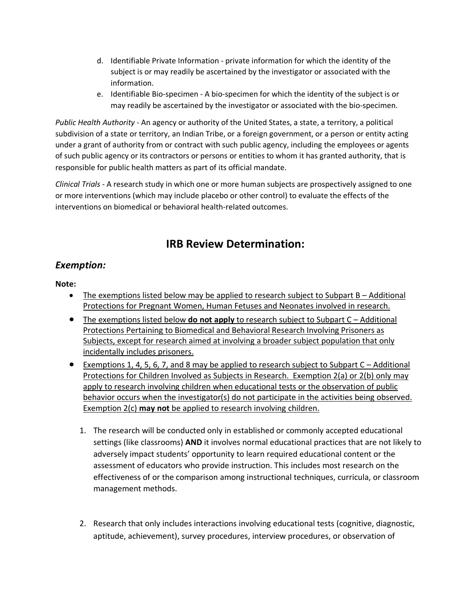- <span id="page-2-2"></span>d. Identifiable Private Information - private information for which the identity of the subject is or may readily be ascertained by the investigator or associated with the information.
- e. Identifiable Bio-specimen A bio-specimen for which the identity of the subject is or may readily be ascertained by the investigator or associated with the bio-specimen.

<span id="page-2-3"></span><span id="page-2-1"></span>*Public Health Authority* - An agency or authority of the United States, a state, a territory, a political subdivision of a state or territory, an Indian Tribe, or a foreign government, or a person or entity acting under a grant of authority from or contract with such public agency, including the employees or agents of such public agency or its contractors or persons or entities to whom it has granted authority, that is responsible for public health matters as part of its official mandate.

<span id="page-2-4"></span>*Clinical Trials* - A research study in which one or more human subjects are prospectively assigned to one or more interventions (which may include placebo or other control) to evaluate the effects of the interventions on biomedical or behavioral health-related outcomes.

# **IRB Review Determination:**

### <span id="page-2-0"></span>*Exemption:*

#### **Note:**

- The exemptions listed below may be applied to research subject to Subpart B Additional Protections for Pregnant Women, Human Fetuses and Neonates involved in research.
- The exemptions listed below **do not apply** to research subject to Subpart C Additional Protections Pertaining to Biomedical and Behavioral Research Involving Prisoners as Subjects, except for research aimed at involving a broader subject population that only incidentally includes prisoners.
- Exemptions 1, 4, 5, 6, 7, and 8 may be applied to research subject to Subpart C Additional Protections for Children Involved as Subjects in Research. Exemption 2(a) or 2(b) only may apply to research involving children when educational tests or the observation of public behavior occurs when the investigator(s) do not participate in the activities being observed. Exemption 2(c) **may not** be applied to research involving children.
	- 1. The research will be conducted only in established or commonly accepted educational settings (like classrooms) **AND** it involves normal educational practices that are not likely to adversely impact students' opportunity to learn required educational content or the assessment of educators who provide instruction. This includes most research on the effectiveness of or the comparison among instructional techniques, curricula, or classroom management methods.
	- 2. Research that only includes interactions involving educational tests (cognitive, diagnostic, aptitude, achievement), survey procedures, interview procedures, or observation of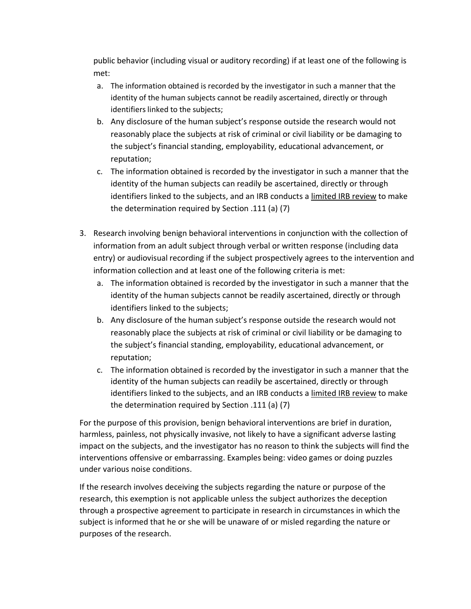public behavior (including visual or auditory recording) if at least one of the following is met:

- a. The information obtained is recorded by the investigator in such a manner that the identity of the human subjects cannot be readily ascertained, directly or through identifiers linked to the subjects;
- b. Any disclosure of the human subject's response outside the research would not reasonably place the subjects at risk of criminal or civil liability or be damaging to the subject's financial standing, employability, educational advancement, or reputation;
- c. The information obtained is recorded by the investigator in such a manner that the identity of the human subjects can readily be ascertained, directly or through identifiers linked to the subjects, and an IRB conducts a limited IRB review to make the determination required by Section .111 (a) (7)
- 3. Research involving benign behavioral interventions in conjunction with the collection of information from an adult subject through verbal or written response (including data entry) or audiovisual recording if the subject prospectively agrees to the intervention and information collection and at least one of the following criteria is met:
	- a. The information obtained is recorded by the investigator in such a manner that the identity of the human subjects cannot be readily ascertained, directly or through identifiers linked to the subjects;
	- b. Any disclosure of the human subject's response outside the research would not reasonably place the subjects at risk of criminal or civil liability or be damaging to the subject's financial standing, employability, educational advancement, or reputation;
	- c. The information obtained is recorded by the investigator in such a manner that the identity of the human subjects can readily be ascertained, directly or through identifiers linked to the subjects, and an IRB conducts a limited IRB review to make the determination required by Section .111 (a) (7)

For the purpose of this provision, benign behavioral interventions are brief in duration, harmless, painless, not physically invasive, not likely to have a significant adverse lasting impact on the subjects, and the investigator has no reason to think the subjects will find the interventions offensive or embarrassing. Examples being: video games or doing puzzles under various noise conditions.

If the research involves deceiving the subjects regarding the nature or purpose of the research, this exemption is not applicable unless the subject authorizes the deception through a prospective agreement to participate in research in circumstances in which the subject is informed that he or she will be unaware of or misled regarding the nature or purposes of the research.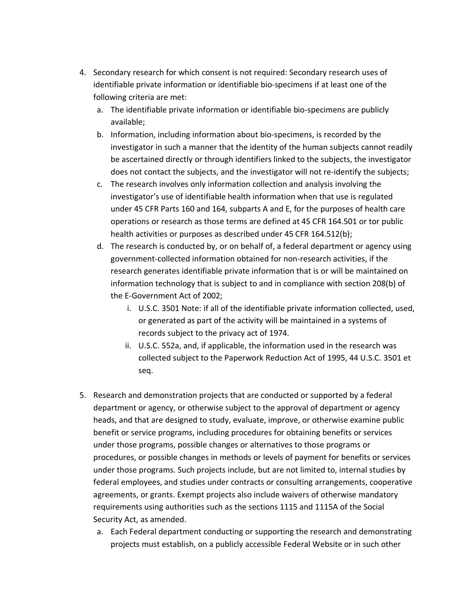- 4. Secondary research for which consent is not required: Secondary research uses of identifiable private information or identifiable bio-specimens if at least one of the following criteria are met:
	- a. The identifiable private information or identifiable bio-specimens are publicly available;
	- b. Information, including information about bio-specimens, is recorded by the investigator in such a manner that the identity of the human subjects cannot readily be ascertained directly or through identifiers linked to the subjects, the investigator does not contact the subjects, and the investigator will not re-identify the subjects;
	- c. The research involves only information collection and analysis involving the investigator's use of identifiable health information when that use is regulated under 45 CFR Parts 160 and 164, subparts A and E, for the purposes of health care operations or research as those terms are defined at 45 CFR 164.501 or tor public health activities or purposes as described under 45 CFR 164.512(b);
	- d. The research is conducted by, or on behalf of, a federal department or agency using government-collected information obtained for non-research activities, if the research generates identifiable private information that is or will be maintained on information technology that is subject to and in compliance with section 208(b) of the E-Government Act of 2002;
		- i. U.S.C. 3501 Note: if all of the identifiable private information collected, used, or generated as part of the activity will be maintained in a systems of records subject to the privacy act of 1974.
		- ii. U.S.C. 552a, and, if applicable, the information used in the research was collected subject to the Paperwork Reduction Act of 1995, 44 U.S.C. 3501 et seq.
- 5. Research and demonstration projects that are conducted or supported by a federal department or agency, or otherwise subject to the approval of department or agency heads, and that are designed to study, evaluate, improve, or otherwise examine public benefit or service programs, including procedures for obtaining benefits or services under those programs, possible changes or alternatives to those programs or procedures, or possible changes in methods or levels of payment for benefits or services under those programs. Such projects include, but are not limited to, internal studies by federal employees, and studies under contracts or consulting arrangements, cooperative agreements, or grants. Exempt projects also include waivers of otherwise mandatory requirements using authorities such as the sections 1115 and 1115A of the Social Security Act, as amended.
	- a. Each Federal department conducting or supporting the research and demonstrating projects must establish, on a publicly accessible Federal Website or in such other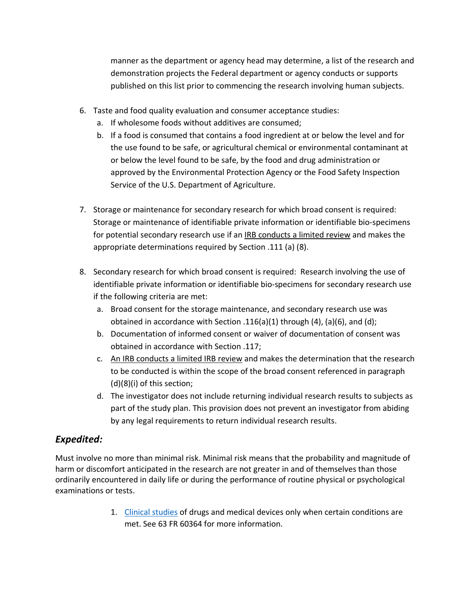manner as the department or agency head may determine, a list of the research and demonstration projects the Federal department or agency conducts or supports published on this list prior to commencing the research involving human subjects.

- 6. Taste and food quality evaluation and consumer acceptance studies:
	- a. If wholesome foods without additives are consumed;
	- b. If a food is consumed that contains a food ingredient at or below the level and for the use found to be safe, or agricultural chemical or environmental contaminant at or below the level found to be safe, by the food and drug administration or approved by the Environmental Protection Agency or the Food Safety Inspection Service of the U.S. Department of Agriculture.
- 7. Storage or maintenance for secondary research for which broad consent is required: Storage or maintenance of identifiable private information or identifiable bio-specimens for potential secondary research use if an IRB conducts a limited review and makes the appropriate determinations required by Section .111 (a) (8).
- 8. Secondary research for which broad consent is required: Research involving the use of identifiable private information or identifiable bio-specimens for secondary research use if the following criteria are met:
	- a. Broad consent for the storage maintenance, and secondary research use was obtained in accordance with Section .116(a)(1) through  $(4)$ , (a)(6), and (d);
	- b. Documentation of informed consent or waiver of documentation of consent was obtained in accordance with Section .117;
	- c. An IRB conducts a limited IRB review and makes the determination that the research to be conducted is within the scope of the broad consent referenced in paragraph (d)(8)(i) of this section;
	- d. The investigator does not include returning individual research results to subjects as part of the study plan. This provision does not prevent an investigator from abiding by any legal requirements to return individual research results.

### <span id="page-5-0"></span>*Expedited:*

Must involve no more than minimal risk. Minimal risk means that the probability and magnitude of harm or discomfort anticipated in the research are not greater in and of themselves than those ordinarily encountered in daily life or during the performance of routine physical or psychological examinations or tests.

> 1. [Clinical studies](#page-2-4) of drugs and medical devices only when certain conditions are met. See 63 FR 60364 for more information.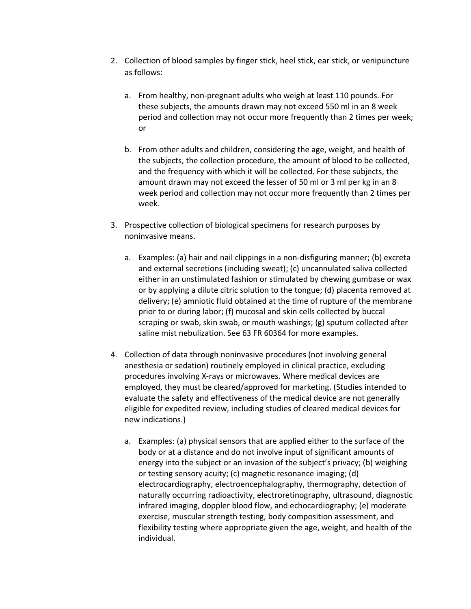- 2. Collection of blood samples by finger stick, heel stick, ear stick, or venipuncture as follows:
	- a. From healthy, non-pregnant adults who weigh at least 110 pounds. For these subjects, the amounts drawn may not exceed 550 ml in an 8 week period and collection may not occur more frequently than 2 times per week; or
	- b. From other adults and children, considering the age, weight, and health of the subjects, the collection procedure, the amount of blood to be collected, and the frequency with which it will be collected. For these subjects, the amount drawn may not exceed the lesser of 50 ml or 3 ml per kg in an 8 week period and collection may not occur more frequently than 2 times per week.
- 3. Prospective collection of biological specimens for research purposes by noninvasive means.
	- a. Examples: (a) hair and nail clippings in a non-disfiguring manner; (b) excreta and external secretions (including sweat); (c) uncannulated saliva collected either in an unstimulated fashion or stimulated by chewing gumbase or wax or by applying a dilute citric solution to the tongue; (d) placenta removed at delivery; (e) amniotic fluid obtained at the time of rupture of the membrane prior to or during labor; (f) mucosal and skin cells collected by buccal scraping or swab, skin swab, or mouth washings; (g) sputum collected after saline mist nebulization. See 63 FR 60364 for more examples.
- 4. Collection of data through noninvasive procedures (not involving general anesthesia or sedation) routinely employed in clinical practice, excluding procedures involving X-rays or microwaves. Where medical devices are employed, they must be cleared/approved for marketing. (Studies intended to evaluate the safety and effectiveness of the medical device are not generally eligible for expedited review, including studies of cleared medical devices for new indications.)
	- a. Examples: (a) physical sensors that are applied either to the surface of the body or at a distance and do not involve input of significant amounts of energy into the subject or an invasion of the subject's privacy; (b) weighing or testing sensory acuity; (c) magnetic resonance imaging; (d) electrocardiography, electroencephalography, thermography, detection of naturally occurring radioactivity, electroretinography, ultrasound, diagnostic infrared imaging, doppler blood flow, and echocardiography; (e) moderate exercise, muscular strength testing, body composition assessment, and flexibility testing where appropriate given the age, weight, and health of the individual.